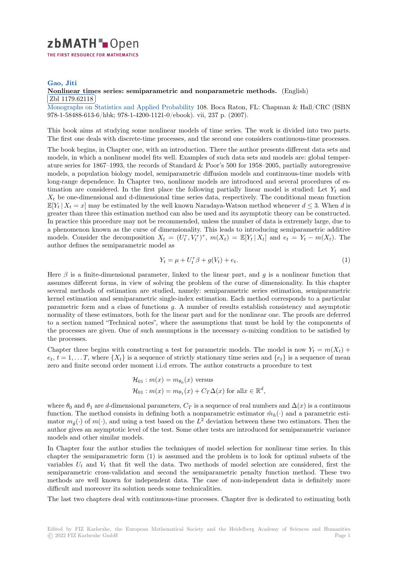# zbMATH-Open THE FIRST RESOURCE FOR MATHEMATICS

## **Gao, Jiti**

## **[N](https://zbmath.org/)onlinear times series: semiparametric and nonparametric methods.** (English) Zbl 1179.62118

<sup>Monographs</sup> on Statistics and Applied Probability 108. Boca Raton, FL: Chapman & Hall/CRC (ISBN) [978-1-5848](https://zbmath.org/authors/?q=ai:gao.jiti)8-613-6/hbk; 978-1-4200-1121-0/ebook). vii, 237 p. (2007).

[This book aims at studying some nonlinear models of time series. The work i](https://zbmath.org/1179.62118)s divided into two parts. [The first one deals with discrete-time processes, an](https://zbmath.org/journals/?q=se:4141)d the second one considers continuous-time processes.

The book begins, in Chapter one, with an introduction. There the author presents different data sets and models, in which a nonlinear model fits well. Examples of such data sets and models are: global temperature series for 1867–1993, the records of Standard & Poor's 500 for 1958–2005, partially autoregressive models, a population biology model, semiparametric diffusion models and continuous-time models with long-range dependence. In Chapter two, nonlinear models are introduced and several procedures of estimation are considered. In the first place the following partially linear model is studied: Let *Y<sup>t</sup>* and  $X_t$  be one-dimensional and d-dimensional time series data, respectively. The conditional mean function  $\mathbb{E}[Y_t | X_t = x]$  may be estimated by the well known Naradaya-Watson method whenever  $d \leq 3$ . When *d* is greater than three this estimation method can also be used and its asymptotic theory can be constructed. In practice this procedure may not be recommended, unless the number of data is extremely large, due to a phenomenon known as the curse of dimensionality. This leads to introducing semiparametric additive models. Consider the decomposition  $X_t = (U_t^{\tau}, V_t^{\tau})^{\tau}$ ,  $m(X_t) = \mathbb{E}[Y_t | X_t]$  and  $e_t = Y_t - m(X_t)$ . The author defines the semiparametric model as

$$
Y_t = \mu + U_t^{\tau} \beta + g(V_t) + e_t.
$$
\n<sup>(1)</sup>

Here  $\beta$  is a finite-dimensional parameter, linked to the linear part, and  $g$  is a nonlinear function that assumes different forms, in view of solving the problem of the curse of dimensionality. In this chapter several methods of estimation are studied, namely: semiparametric series estimation, semiparametric kernel estimation and semiparametric single-index estimation. Each method corresponds to a particular parametric form and a class of functions *g*. A number of results establish consistency and asymptotic normality of these estimators, both for the linear part and for the nonlinear one. The proofs are deferred to a section named "Technical notes", where the assumptions that must be hold by the components of the processes are given. One of such assumptions is the necessary  $\alpha$ -mixing condition to be satisfied by the processes.

Chapter three begins with constructing a test for parametric models. The model is now  $Y_t = m(X_t) +$  $e_t$ ,  $t = 1, \ldots, T$ , where  $\{X_t\}$  is a sequence of strictly stationary time series and  $\{e_t\}$  is a sequence of mean zero and finite second order moment i.i.d errors. The author constructs a procedure to test

$$
\mathcal{H}_{01} : m(x) = m_{\theta_0}(x) \text{ versus}
$$
  

$$
\mathcal{H}_{01} : m(x) = m_{\theta_1}(x) + C_T \Delta(x) \text{ for all } x \in \mathbb{R}^d,
$$

where  $\theta_0$  and  $\theta_1$  are *d*-dimensional parameters,  $C_T$  is a sequence of real numbers and  $\Delta(x)$  is a continuous function. The method consists in defining both a nonparametric estimator  $\hat{m}_h(\cdot)$  and a parametric estimator  $m_{\hat{\theta}}(\cdot)$  of  $m(\cdot)$ , and using a test based on the  $L^2$  deviation between these two estimators. Then the author gives an asymptotic level of the test. Some other tests are introduced for semiparametric variance models and other similar models.

In Chapter four the author studies the techniques of model selection for nonlinear time series. In this chapter the semiparametric form (1) is assumed and the problem is to look for optimal subsets of the variables  $U_t$  and  $V_t$  that fit well the data. Two methods of model selection are considered, first the semiparametric cross-validation and second the semiparametric penalty function method. These two methods are well known for independent data. The case of non-independent data is definitely more difficult and moreover its solution needs some technicalities.

The last two chapters deal with continuous-time processes. Chapter five is dedicated to estimating both